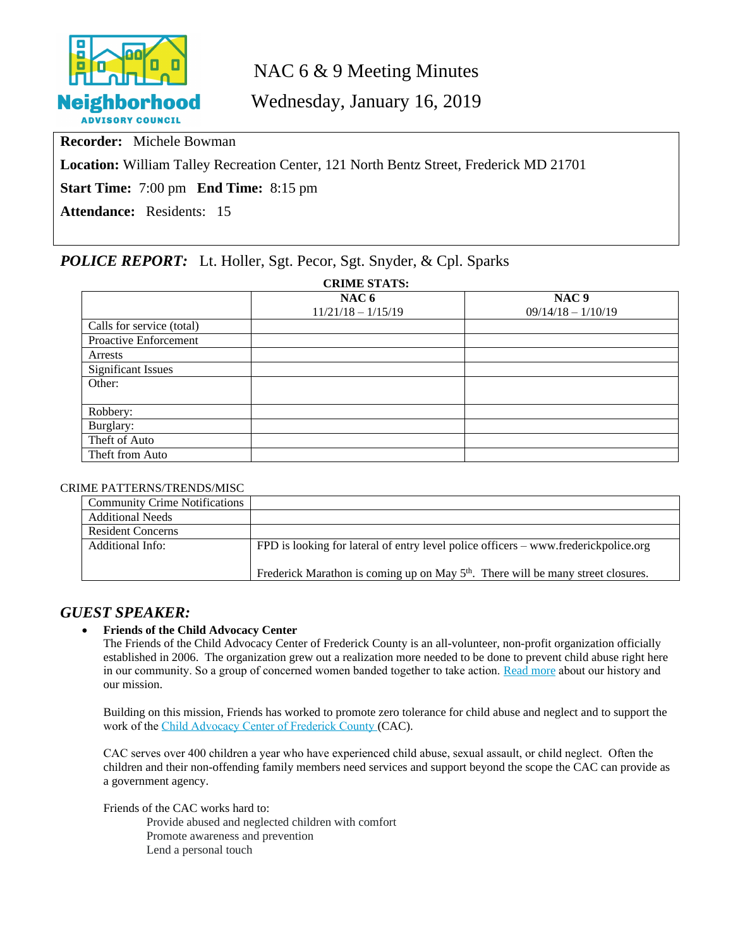

# NAC 6 & 9 Meeting Minutes

Wednesday, January 16, 2019

**Recorder:** Michele Bowman

**Location:** William Talley Recreation Center, 121 North Bentz Street, Frederick MD 21701

**Start Time:** 7:00 pm **End Time:** 8:15 pm

**Attendance:** Residents: 15

# *POLICE REPORT:* Lt. Holler, Sgt. Pecor, Sgt. Snyder, & Cpl. Sparks

| <b>CRIME STATS:</b>       |                      |                      |  |  |  |  |
|---------------------------|----------------------|----------------------|--|--|--|--|
|                           | NAC <sub>6</sub>     | NAC <sub>9</sub>     |  |  |  |  |
|                           | $11/21/18 - 1/15/19$ | $09/14/18 - 1/10/19$ |  |  |  |  |
| Calls for service (total) |                      |                      |  |  |  |  |
| Proactive Enforcement     |                      |                      |  |  |  |  |
| Arrests                   |                      |                      |  |  |  |  |
| <b>Significant Issues</b> |                      |                      |  |  |  |  |
| Other:                    |                      |                      |  |  |  |  |
|                           |                      |                      |  |  |  |  |
| Robbery:                  |                      |                      |  |  |  |  |
| Burglary:                 |                      |                      |  |  |  |  |
| Theft of Auto             |                      |                      |  |  |  |  |
| Theft from Auto           |                      |                      |  |  |  |  |

#### CRIME PATTERNS/TRENDS/MISC

| <b>Community Crime Notifications</b> |                                                                                              |
|--------------------------------------|----------------------------------------------------------------------------------------------|
| <b>Additional Needs</b>              |                                                                                              |
| <b>Resident Concerns</b>             |                                                                                              |
| Additional Info:                     | FPD is looking for lateral of entry level police officers – www.frederickpolice.org          |
|                                      | Frederick Marathon is coming up on May 5 <sup>th</sup> . There will be many street closures. |

# *GUEST SPEAKER:*

### **Friends of the Child Advocacy Center**

The Friends of the Child Advocacy Center of Frederick County is an all-volunteer, non-profit organization officially established in 2006. The organization grew out a realization more needed to be done to prevent child abuse right here in our community. So a group of concerned women banded together to take action. [Read more](http://cacfriends.net/about-us/mission-and-history/) about our history and our mission.

Building on this mission, Friends has worked to promote zero tolerance for child abuse and neglect and to support the work of the [Child Advocacy Center of Frederick County](https://frederickcountymd.gov/481/Child-Advocacy-Center-CAC) (CAC).

CAC serves over 400 children a year who have experienced child abuse, sexual assault, or child neglect. Often the children and their non-offending family members need services and support beyond the scope the CAC can provide as a government agency.

Friends of the CAC works hard to:

Provide abused and neglected children with comfort Promote awareness and prevention Lend a personal touch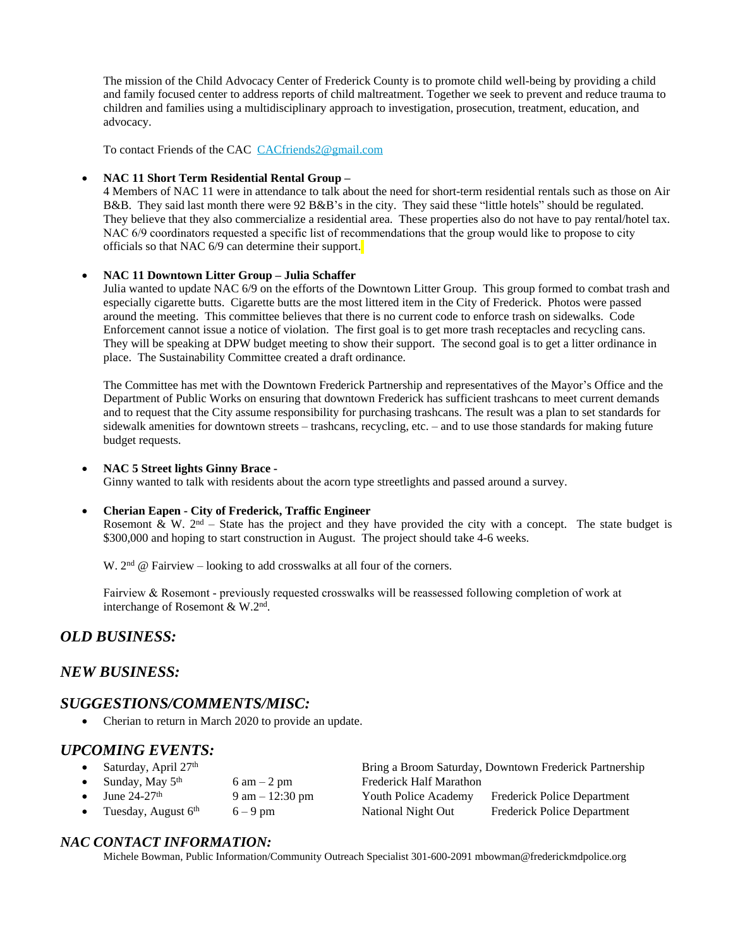The mission of the Child Advocacy Center of Frederick County is to promote child well-being by providing a child and family focused center to address reports of child maltreatment. Together we seek to prevent and reduce trauma to children and families using a multidisciplinary approach to investigation, prosecution, treatment, education, and advocacy.

To contact Friends of the CAC [CACfriends2@gmail.com](mailto:CACfriends2@gmail.com)

#### **NAC 11 Short Term Residential Rental Group –**

4 Members of NAC 11 were in attendance to talk about the need for short-term residential rentals such as those on Air B&B. They said last month there were 92 B&B's in the city. They said these "little hotels" should be regulated. They believe that they also commercialize a residential area. These properties also do not have to pay rental/hotel tax. NAC 6/9 coordinators requested a specific list of recommendations that the group would like to propose to city officials so that NAC 6/9 can determine their support.

#### **NAC 11 Downtown Litter Group – Julia Schaffer**

Julia wanted to update NAC 6/9 on the efforts of the Downtown Litter Group. This group formed to combat trash and especially cigarette butts. Cigarette butts are the most littered item in the City of Frederick. Photos were passed around the meeting. This committee believes that there is no current code to enforce trash on sidewalks. Code Enforcement cannot issue a notice of violation. The first goal is to get more trash receptacles and recycling cans. They will be speaking at DPW budget meeting to show their support. The second goal is to get a litter ordinance in place. The Sustainability Committee created a draft ordinance.

The Committee has met with the Downtown Frederick Partnership and representatives of the Mayor's Office and the Department of Public Works on ensuring that downtown Frederick has sufficient trashcans to meet current demands and to request that the City assume responsibility for purchasing trashcans. The result was a plan to set standards for sidewalk amenities for downtown streets – trashcans, recycling, etc. – and to use those standards for making future budget requests.

#### **NAC 5 Street lights Ginny Brace -**

Ginny wanted to talk with residents about the acorn type streetlights and passed around a survey.

#### **Cherian Eapen - City of Frederick, Traffic Engineer**

Rosemont & W.  $2<sup>nd</sup>$  – State has the project and they have provided the city with a concept. The state budget is \$300,000 and hoping to start construction in August. The project should take 4-6 weeks.

W.  $2<sup>nd</sup>$  @ Fairview – looking to add crosswalks at all four of the corners.

Fairview & Rosemont - previously requested crosswalks will be reassessed following completion of work at interchange of Rosemont & W.2nd .

# *OLD BUSINESS:*

### *NEW BUSINESS:*

### *SUGGESTIONS/COMMENTS/MISC:*

• Cherian to return in March 2020 to provide an update.

### *UPCOMING EVENTS:*

| • Saturday, April $27th$           |                               |                                | Bring a Broom Saturday, Downtown Frederick Partnership |
|------------------------------------|-------------------------------|--------------------------------|--------------------------------------------------------|
| • Sunday, May $5th$                | $6 \text{ am} - 2 \text{ pm}$ | <b>Frederick Half Marathon</b> |                                                        |
| $\bullet$ June 24-27 <sup>th</sup> | 9 am $-12:30$ pm              |                                | Youth Police Academy Frederick Police Department       |

Tuesday, August  $6<sup>th</sup>$  6 – 9 pm National Night Out Frederick Police Department

# *NAC CONTACT INFORMATION:*

Michele Bowman, Public Information/Community Outreach Specialist 301-600-2091 [mbowman@frederickmdpolice.](mailto:mbowman@frederickmdpolice.)org